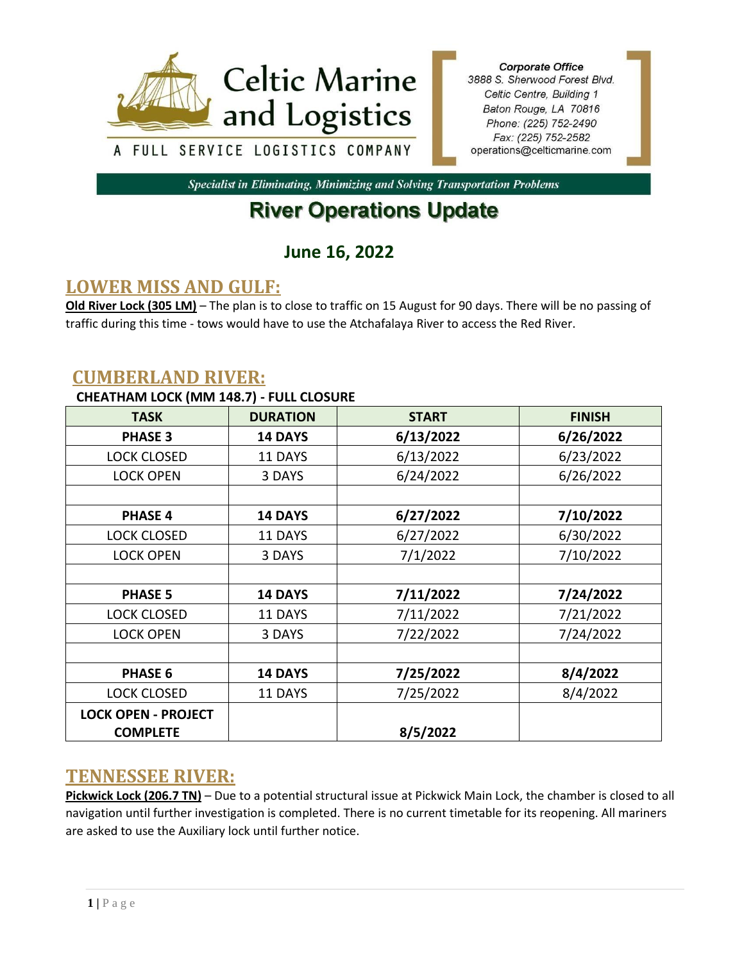

**Corporate Office** 3888 S. Sherwood Forest Blvd. Celtic Centre, Building 1 Baton Rouge, LA 70816 Phone: (225) 752-2490 Fax: (225) 752-2582 operations@celticmarine.com

Specialist in Eliminating, Minimizing and Solving Transportation Problems

# **River Operations Update**

# **June 16, 2022**

## **LOWER MISS AND GULF:**

**Old River Lock (305 LM)** – The plan is to close to traffic on 15 August for 90 days. There will be no passing of traffic during this time - tows would have to use the Atchafalaya River to access the Red River.

#### **CUMBERLAND RIVER:**

#### **CHEATHAM LOCK (MM 148.7) - FULL CLOSURE**

| <b>TASK</b>                | <b>DURATION</b> | <b>START</b> | <b>FINISH</b> |
|----------------------------|-----------------|--------------|---------------|
| <b>PHASE 3</b>             | <b>14 DAYS</b>  | 6/13/2022    | 6/26/2022     |
| <b>LOCK CLOSED</b>         | 11 DAYS         | 6/13/2022    | 6/23/2022     |
| <b>LOCK OPEN</b>           | 3 DAYS          | 6/24/2022    | 6/26/2022     |
|                            |                 |              |               |
| <b>PHASE 4</b>             | <b>14 DAYS</b>  | 6/27/2022    | 7/10/2022     |
| <b>LOCK CLOSED</b>         | 11 DAYS         | 6/27/2022    | 6/30/2022     |
| <b>LOCK OPEN</b>           | 3 DAYS          | 7/1/2022     | 7/10/2022     |
|                            |                 |              |               |
| <b>PHASE 5</b>             | <b>14 DAYS</b>  | 7/11/2022    | 7/24/2022     |
| <b>LOCK CLOSED</b>         | 11 DAYS         | 7/11/2022    | 7/21/2022     |
| <b>LOCK OPEN</b>           | 3 DAYS          | 7/22/2022    | 7/24/2022     |
|                            |                 |              |               |
| <b>PHASE 6</b>             | <b>14 DAYS</b>  | 7/25/2022    | 8/4/2022      |
| <b>LOCK CLOSED</b>         | 11 DAYS         | 7/25/2022    | 8/4/2022      |
| <b>LOCK OPEN - PROJECT</b> |                 |              |               |
| <b>COMPLETE</b>            |                 | 8/5/2022     |               |

### **TENNESSEE RIVER:**

**Pickwick Lock (206.7 TN)** – Due to a potential structural issue at Pickwick Main Lock, the chamber is closed to all navigation until further investigation is completed. There is no current timetable for its reopening. All mariners are asked to use the Auxiliary lock until further notice.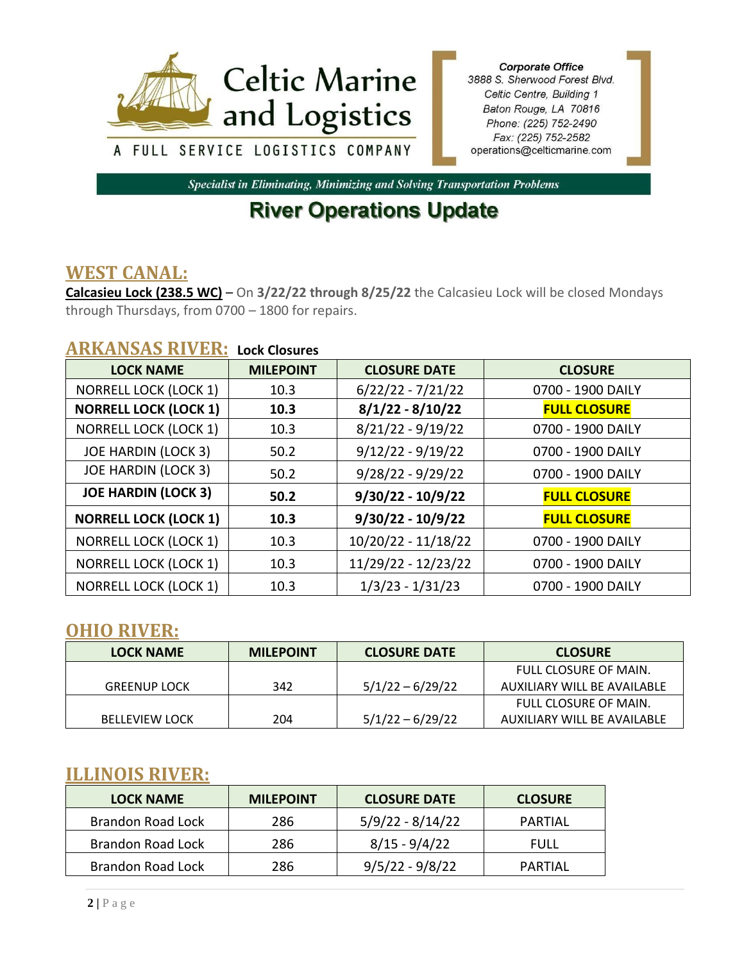

**Corporate Office** 3888 S. Sherwood Forest Blvd. Celtic Centre, Building 1 Baton Rouge, LA 70816 Phone: (225) 752-2490 Fax: (225) 752-2582 operations@celticmarine.com

Specialist in Eliminating, Minimizing and Solving Transportation Problems

# **River Operations Update**

### **WEST CANAL:**

**Calcasieu Lock (238.5 WC)** – On **3/22/22 through 8/25/22** the Calcasieu Lock will be closed Mondays through Thursdays, from 0700 – 1800 for repairs.

#### **ARKANSAS RIVER: Lock Closures**

| <b>LOCK NAME</b>             | <b>MILEPOINT</b> | <b>CLOSURE DATE</b> | <b>CLOSURE</b>      |
|------------------------------|------------------|---------------------|---------------------|
| <b>NORRELL LOCK (LOCK 1)</b> | 10.3             | $6/22/22 - 7/21/22$ | 0700 - 1900 DAILY   |
| <b>NORRELL LOCK (LOCK 1)</b> | 10.3             | $8/1/22 - 8/10/22$  | <b>FULL CLOSURE</b> |
| <b>NORRELL LOCK (LOCK 1)</b> | 10.3             | $8/21/22 - 9/19/22$ | 0700 - 1900 DAILY   |
| <b>JOE HARDIN (LOCK 3)</b>   | 50.2             | $9/12/22 - 9/19/22$ | 0700 - 1900 DAILY   |
| <b>JOE HARDIN (LOCK 3)</b>   | 50.2             | $9/28/22 - 9/29/22$ | 0700 - 1900 DAILY   |
| <b>JOE HARDIN (LOCK 3)</b>   | 50.2             | $9/30/22 - 10/9/22$ | <b>FULL CLOSURE</b> |
| <b>NORRELL LOCK (LOCK 1)</b> | 10.3             | $9/30/22 - 10/9/22$ | <b>FULL CLOSURE</b> |
| <b>NORRELL LOCK (LOCK 1)</b> | 10.3             | 10/20/22 - 11/18/22 | 0700 - 1900 DAILY   |
| <b>NORRELL LOCK (LOCK 1)</b> | 10.3             | 11/29/22 - 12/23/22 | 0700 - 1900 DAILY   |
| <b>NORRELL LOCK (LOCK 1)</b> | 10.3             | $1/3/23 - 1/31/23$  | 0700 - 1900 DAILY   |

### **OHIO RIVER:**

| <b>LOCK NAME</b>      | <b>MILEPOINT</b> | <b>CLOSURE DATE</b> | <b>CLOSURE</b>              |
|-----------------------|------------------|---------------------|-----------------------------|
|                       |                  |                     | FULL CLOSURE OF MAIN.       |
| <b>GREENUP LOCK</b>   | 342              | $5/1/22 - 6/29/22$  | AUXILIARY WILL BE AVAILABLE |
|                       |                  |                     | FULL CLOSURE OF MAIN.       |
| <b>BELLEVIEW LOCK</b> | 204              | $5/1/22 - 6/29/22$  | AUXILIARY WILL BE AVAILABLE |

### **ILLINOIS RIVER:**

| <b>LOCK NAME</b>  | <b>MILEPOINT</b> | <b>CLOSURE DATE</b> | <b>CLOSURE</b> |
|-------------------|------------------|---------------------|----------------|
| Brandon Road Lock | 286              | $5/9/22 - 8/14/22$  | PARTIAL        |
| Brandon Road Lock | 286              | 8/15 - 9/4/22       | FULL           |
| Brandon Road Lock | 286              | $9/5/22 - 9/8/22$   | PARTIAL        |